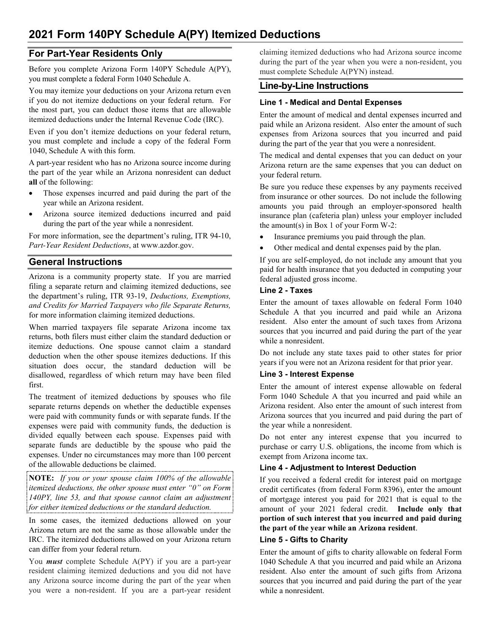# **For Part-Year Residents Only**

Before you complete Arizona Form 140PY Schedule A(PY), you must complete a federal Form 1040 Schedule A.

You may itemize your deductions on your Arizona return even if you do not itemize deductions on your federal return. For the most part, you can deduct those items that are allowable itemized deductions under the Internal Revenue Code (IRC).

Even if you don't itemize deductions on your federal return, you must complete and include a copy of the federal Form 1040, Schedule A with this form.

A part-year resident who has no Arizona source income during the part of the year while an Arizona nonresident can deduct **all** of the following:

- Those expenses incurred and paid during the part of the year while an Arizona resident.
- Arizona source itemized deductions incurred and paid during the part of the year while a nonresident.

For more information, see the department's ruling, ITR 94-10, *Part-Year Resident Deductions*, at www.azdor.gov.

# **General Instructions**

Arizona is a community property state. If you are married filing a separate return and claiming itemized deductions, see the department's ruling, ITR 93-19, *Deductions, Exemptions, and Credits for Married Taxpayers who file Separate Returns,*  for more information claiming itemized deductions.

When married taxpayers file separate Arizona income tax returns, both filers must either claim the standard deduction or itemize deductions. One spouse cannot claim a standard deduction when the other spouse itemizes deductions. If this situation does occur, the standard deduction will be disallowed, regardless of which return may have been filed first.

The treatment of itemized deductions by spouses who file separate returns depends on whether the deductible expenses were paid with community funds or with separate funds. If the expenses were paid with community funds, the deduction is divided equally between each spouse. Expenses paid with separate funds are deductible by the spouse who paid the expenses. Under no circumstances may more than 100 percent of the allowable deductions be claimed.

**NOTE:** *If you or your spouse claim 100% of the allowable itemized deductions, the other spouse must enter "0" on Form 140PY, line 53, and that spouse cannot claim an adjustment for either itemized deductions or the standard deduction.*

In some cases, the itemized deductions allowed on your Arizona return are not the same as those allowable under the IRC. The itemized deductions allowed on your Arizona return can differ from your federal return.

You *must* complete Schedule A(PY) if you are a part-year resident claiming itemized deductions and you did not have any Arizona source income during the part of the year when you were a non-resident. If you are a part-year resident claiming itemized deductions who had Arizona source income during the part of the year when you were a non-resident, you must complete Schedule A(PYN) instead.

# **Line-by-Line Instructions**

## **Line 1 - Medical and Dental Expenses**

Enter the amount of medical and dental expenses incurred and paid while an Arizona resident. Also enter the amount of such expenses from Arizona sources that you incurred and paid during the part of the year that you were a nonresident.

The medical and dental expenses that you can deduct on your Arizona return are the same expenses that you can deduct on your federal return.

Be sure you reduce these expenses by any payments received from insurance or other sources. Do not include the following amounts you paid through an employer-sponsored health insurance plan (cafeteria plan) unless your employer included the amount(s) in Box 1 of your Form W-2:

- Insurance premiums you paid through the plan.
- Other medical and dental expenses paid by the plan.

If you are self-employed, do not include any amount that you paid for health insurance that you deducted in computing your federal adjusted gross income.

### **Line 2 - Taxes**

Enter the amount of taxes allowable on federal Form 1040 Schedule A that you incurred and paid while an Arizona resident. Also enter the amount of such taxes from Arizona sources that you incurred and paid during the part of the year while a nonresident.

Do not include any state taxes paid to other states for prior years if you were not an Arizona resident for that prior year.

## **Line 3 - Interest Expense**

Enter the amount of interest expense allowable on federal Form 1040 Schedule A that you incurred and paid while an Arizona resident. Also enter the amount of such interest from Arizona sources that you incurred and paid during the part of the year while a nonresident.

Do not enter any interest expense that you incurred to purchase or carry U.S. obligations, the income from which is exempt from Arizona income tax.

## **Line 4 - Adjustment to Interest Deduction**

If you received a federal credit for interest paid on mortgage credit certificates (from federal Form 8396), enter the amount of mortgage interest you paid for 2021 that is equal to the amount of your 2021 federal credit. **Include only that portion of such interest that you incurred and paid during the part of the year while an Arizona resident**.

#### **Line 5 - Gifts to Charity**

Enter the amount of gifts to charity allowable on federal Form 1040 Schedule A that you incurred and paid while an Arizona resident. Also enter the amount of such gifts from Arizona sources that you incurred and paid during the part of the year while a nonresident.